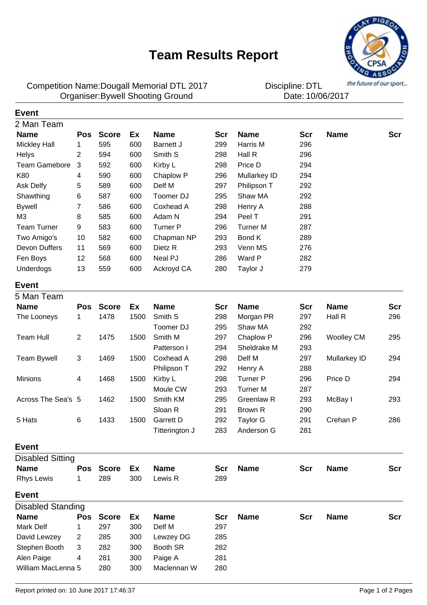## **Team Results Report**



Dougall Memorial DTL 2017 DTL Competition Name:Organiser:Bywell Shooting Ground **1000 Date:** 10/06/2017

Discipline: DTL<br>Date: 10/06/2017

| <b>Event</b>             |                |              |      |                  |     |                 |            |                   |     |
|--------------------------|----------------|--------------|------|------------------|-----|-----------------|------------|-------------------|-----|
| 2 Man Team               |                |              |      |                  |     |                 |            |                   |     |
| <b>Name</b>              | <b>Pos</b>     | <b>Score</b> | Ex   | <b>Name</b>      | Scr | <b>Name</b>     | <b>Scr</b> | <b>Name</b>       | Scr |
| <b>Mickley Hall</b>      | 1              | 595          | 600  | Barnett J        | 299 | Harris M        | 296        |                   |     |
| Helys                    | 2              | 594          | 600  | Smith S          | 298 | Hall R          | 296        |                   |     |
| <b>Team Gamebore</b>     | 3              | 592          | 600  | Kirby L          | 298 | Price D         | 294        |                   |     |
| K80                      | 4              | 590          | 600  | Chaplow P        | 296 | Mullarkey ID    | 294        |                   |     |
| Ask Delfy                | 5              | 589          | 600  | Delf M           | 297 | Philipson T     | 292        |                   |     |
| Shawthing                | 6              | 587          | 600  | Toomer DJ        | 295 | Shaw MA         | 292        |                   |     |
| <b>Bywell</b>            | 7              | 586          | 600  | Coxhead A        | 298 | Henry A         | 288        |                   |     |
| M <sub>3</sub>           | 8              | 585          | 600  | Adam N           | 294 | Peel T          | 291        |                   |     |
| <b>Team Turner</b>       | 9              | 583          | 600  | <b>Turner P</b>  | 296 | <b>Turner M</b> | 287        |                   |     |
| Two Amigo's              | 10             | 582          | 600  | Chapman NP       | 293 | Bond K          | 289        |                   |     |
| Devon Duffers            | 11             | 569          | 600  | Dietz R          | 293 | Venn MS         | 276        |                   |     |
| Fen Boys                 | 12             | 568          | 600  | Neal PJ          | 286 | Ward P          | 282        |                   |     |
| Underdogs                | 13             | 559          | 600  | Ackroyd CA       | 280 | Taylor J        | 279        |                   |     |
| <b>Event</b>             |                |              |      |                  |     |                 |            |                   |     |
| 5 Man Team               |                |              |      |                  |     |                 |            |                   |     |
| <b>Name</b>              | <b>Pos</b>     | <b>Score</b> | Ex   | <b>Name</b>      | Scr | <b>Name</b>     | <b>Scr</b> | <b>Name</b>       | Scr |
| The Looneys              | 1              | 1478         | 1500 | Smith S          | 298 | Morgan PR       | 297        | Hall R            | 296 |
|                          |                |              |      | Toomer DJ        | 295 | Shaw MA         | 292        |                   |     |
| Team Hull                | 2              | 1475         | 1500 | Smith M          | 297 | Chaplow P       | 296        | <b>Woolley CM</b> | 295 |
|                          |                |              |      | Patterson I      | 294 | Sheldrake M     | 293        |                   |     |
| <b>Team Bywell</b>       | 3              | 1469         | 1500 | Coxhead A        | 298 | Delf M          | 297        | Mullarkey ID      | 294 |
|                          |                |              |      | Philipson T      | 292 | Henry A         | 288        |                   |     |
| <b>Minions</b>           | 4              | 1468         | 1500 | Kirby L          | 298 | <b>Turner P</b> | 296        | Price D           | 294 |
|                          |                |              |      | Moule CW         | 293 | <b>Turner M</b> | 287        |                   |     |
| Across The Sea's 5       |                | 1462         | 1500 | Smith KM         | 295 | Greenlaw R      | 293        | McBay I           | 293 |
|                          |                |              |      | Sloan R          | 291 | Brown R         | 290        |                   |     |
| 5 Hats                   | 6              | 1433         | 1500 | <b>Garrett D</b> | 292 | <b>Taylor G</b> | 291        | Crehan P          | 286 |
|                          |                |              |      | Titterington J   | 283 | Anderson G      | 281        |                   |     |
|                          |                |              |      |                  |     |                 |            |                   |     |
| <b>Event</b>             |                |              |      |                  |     |                 |            |                   |     |
| <b>Disabled Sitting</b>  |                |              |      |                  |     |                 |            |                   |     |
| <b>Name</b>              | Pos            | <b>Score</b> | Ex   | <b>Name</b>      | Scr | <b>Name</b>     | <b>Scr</b> | <b>Name</b>       | Scr |
| <b>Rhys Lewis</b>        | 1              | 289          | 300  | Lewis R          | 289 |                 |            |                   |     |
| <b>Event</b>             |                |              |      |                  |     |                 |            |                   |     |
| <b>Disabled Standing</b> |                |              |      |                  |     |                 |            |                   |     |
| <b>Name</b>              | Pos            | <b>Score</b> | Ex   | <b>Name</b>      | Scr | <b>Name</b>     | <b>Scr</b> | <b>Name</b>       | Scr |
| Mark Delf                | 1              | 297          | 300  | Delf M           | 297 |                 |            |                   |     |
| David Lewzey             | $\overline{2}$ | 285          | 300  | Lewzey DG        | 285 |                 |            |                   |     |
| Stephen Booth            | 3              | 282          | 300  | Booth SR         | 282 |                 |            |                   |     |
| Alen Paige               | 4              | 281          | 300  | Paige A          | 281 |                 |            |                   |     |
| William MacLenna 5       |                | 280          | 300  | Maclennan W      | 280 |                 |            |                   |     |
|                          |                |              |      |                  |     |                 |            |                   |     |